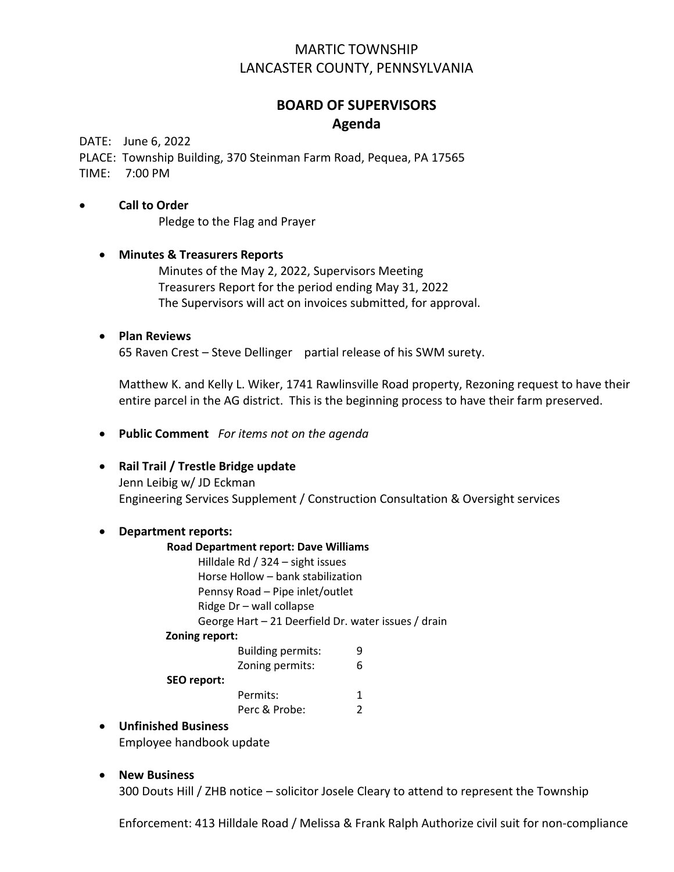# MARTIC TOWNSHIP LANCASTER COUNTY, PENNSYLVANIA

# **BOARD OF SUPERVISORS Agenda**

DATE: June 6, 2022

PLACE: Township Building, 370 Steinman Farm Road, Pequea, PA 17565 TIME:7:00 PM

#### • **Call to Order**

Pledge to the Flag and Prayer

## • **Minutes & Treasurers Reports** Minutes of the May 2, 2022, Supervisors Meeting Treasurers Report for the period ending May 31, 2022 The Supervisors will act on invoices submitted, for approval.

#### • **Plan Reviews**

65 Raven Crest – Steve Dellinger partial release of his SWM surety.

Matthew K. and Kelly L. Wiker, 1741 Rawlinsville Road property, Rezoning request to have their entire parcel in the AG district. This is the beginning process to have their farm preserved.

• **Public Comment** *For items not on the agenda*

### • **Rail Trail / Trestle Bridge update**

Jenn Leibig w/ JD Eckman Engineering Services Supplement / Construction Consultation & Oversight services

#### • **Department reports:**

| <b>Road Department report: Dave Williams</b>        |                          |   |
|-----------------------------------------------------|--------------------------|---|
| Hilldale Rd / 324 - sight issues                    |                          |   |
| Horse Hollow - bank stabilization                   |                          |   |
| Pennsy Road - Pipe inlet/outlet                     |                          |   |
| Ridge Dr - wall collapse                            |                          |   |
| George Hart - 21 Deerfield Dr. water issues / drain |                          |   |
| Zoning report:                                      |                          |   |
|                                                     | <b>Building permits:</b> | 9 |
|                                                     | Zoning permits:          | 6 |
| SEO report:                                         |                          |   |

Permits: 1 Perc & Probe: 2

### • **Unfinished Business**

Employee handbook update

### • **New Business**

300 Douts Hill / ZHB notice – solicitor Josele Cleary to attend to represent the Township

Enforcement: 413 Hilldale Road / Melissa & Frank Ralph Authorize civil suit for non-compliance